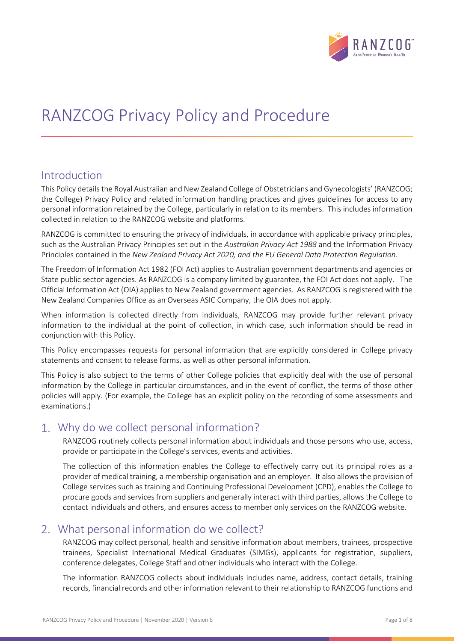

# RANZCOG Privacy Policy and Procedure

#### Introduction

This Policy details the Royal Australian and New Zealand College of Obstetricians and Gynecologists' (RANZCOG; the College) Privacy Policy and related information handling practices and gives guidelines for access to any personal information retained by the College, particularly in relation to its members. This includes information collected in relation to the RANZCOG website and platforms.

RANZCOG is committed to ensuring the privacy of individuals, in accordance with applicable privacy principles, such as the Australian Privacy Principles set out in the *Australian Privacy Act 1988* and the Information Privacy Principles contained in the *New Zealand Privacy Act 2020, and the EU General Data Protection Regulation*.

The Freedom of Information Act 1982 (FOI Act) applies to Australian government departments and agencies or State public sector agencies. As RANZCOG is a company limited by guarantee, the FOI Act does not apply. The Official Information Act (OIA) applies to New Zealand government agencies. As RANZCOG is registered with the New Zealand Companies Office as an Overseas ASIC Company, the OIA does not apply.

When information is collected directly from individuals, RANZCOG may provide further relevant privacy information to the individual at the point of collection, in which case, such information should be read in conjunction with this Policy.

This Policy encompasses requests for personal information that are explicitly considered in College privacy statements and consent to release forms, as well as other personal information.

This Policy is also subject to the terms of other College policies that explicitly deal with the use of personal information by the College in particular circumstances, and in the event of conflict, the terms of those other policies will apply. (For example, the College has an explicit policy on the recording of some assessments and examinations.)

#### Why do we collect personal information?

RANZCOG routinely collects personal information about individuals and those persons who use, access, provide or participate in the College's services, events and activities.

The collection of this information enables the College to effectively carry out its principal roles as a provider of medical training, a membership organisation and an employer. It also allows the provision of College services such as training and Continuing Professional Development (CPD), enables the College to procure goods and services from suppliers and generally interact with third parties, allows the College to contact individuals and others, and ensures access to member only services on the RANZCOG website.

# What personal information do we collect?

RANZCOG may collect personal, health and sensitive information about members, trainees, prospective trainees, Specialist International Medical Graduates (SIMGs), applicants for registration, suppliers, conference delegates, College Staff and other individuals who interact with the College.

The information RANZCOG collects about individuals includes name, address, contact details, training records, financial records and other information relevant to their relationship to RANZCOG functions and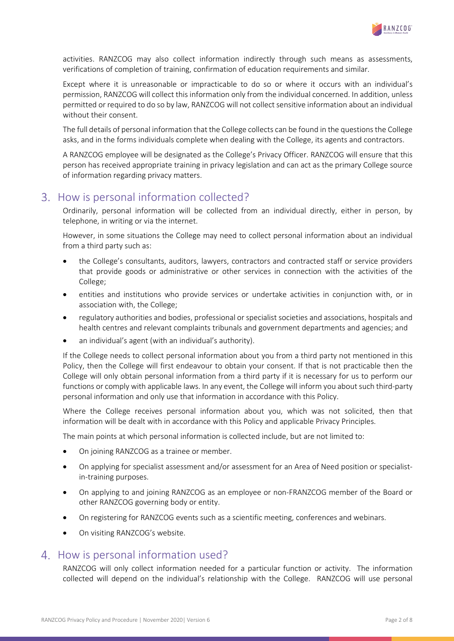

activities. RANZCOG may also collect information indirectly through such means as assessments, verifications of completion of training, confirmation of education requirements and similar.

Except where it is unreasonable or impracticable to do so or where it occurs with an individual's permission, RANZCOG will collect this information only from the individual concerned. In addition, unless permitted or required to do so by law, RANZCOG will not collect sensitive information about an individual without their consent.

The full details of personal information that the College collects can be found in the questions the College asks, and in the forms individuals complete when dealing with the College, its agents and contractors.

A RANZCOG employee will be designated as the College's Privacy Officer. RANZCOG will ensure that this person has received appropriate training in privacy legislation and can act as the primary College source of information regarding privacy matters.

# 3. How is personal information collected?

Ordinarily, personal information will be collected from an individual directly, either in person, by telephone, in writing or via the internet.

However, in some situations the College may need to collect personal information about an individual from a third party such as:

- the College's consultants, auditors, lawyers, contractors and contracted staff or service providers that provide goods or administrative or other services in connection with the activities of the College;
- entities and institutions who provide services or undertake activities in conjunction with, or in association with, the College;
- regulatory authorities and bodies, professional or specialist societies and associations, hospitals and health centres and relevant complaints tribunals and government departments and agencies; and
- an individual's agent (with an individual's authority).

If the College needs to collect personal information about you from a third party not mentioned in this Policy, then the College will first endeavour to obtain your consent. If that is not practicable then the College will only obtain personal information from a third party if it is necessary for us to perform our functions or comply with applicable laws. In any event, the College will inform you about such third-party personal information and only use that information in accordance with this Policy.

Where the College receives personal information about you, which was not solicited, then that information will be dealt with in accordance with this Policy and applicable Privacy Principles.

The main points at which personal information is collected include, but are not limited to:

- On joining RANZCOG as a trainee or member.
- On applying for specialist assessment and/or assessment for an Area of Need position or specialistin-training purposes.
- On applying to and joining RANZCOG as an employee or non-FRANZCOG member of the Board or other RANZCOG governing body or entity.
- On registering for RANZCOG events such as a scientific meeting, conferences and webinars.
- On visiting RANZCOG's website.

#### 4. How is personal information used?

RANZCOG will only collect information needed for a particular function or activity. The information collected will depend on the individual's relationship with the College. RANZCOG will use personal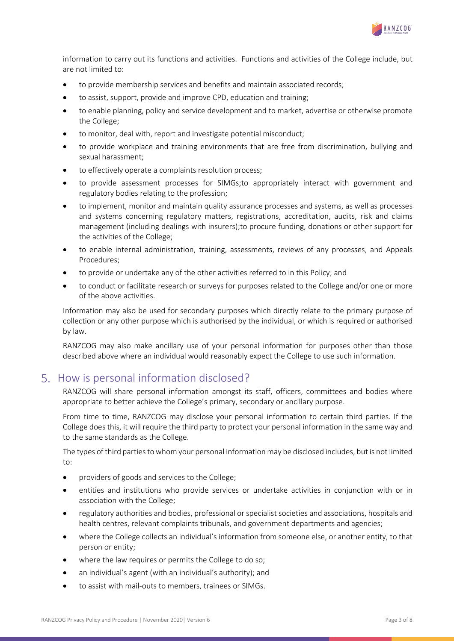

information to carry out its functions and activities. Functions and activities of the College include, but are not limited to:

- to provide membership services and benefits and maintain associated records;
- to assist, support, provide and improve CPD, education and training;
- to enable planning, policy and service development and to market, advertise or otherwise promote the College;
- to monitor, deal with, report and investigate potential misconduct;
- to provide workplace and training environments that are free from discrimination, bullying and sexual harassment;
- to effectively operate a complaints resolution process;
- to provide assessment processes for SIMGs;to appropriately interact with government and regulatory bodies relating to the profession;
- to implement, monitor and maintain quality assurance processes and systems, as well as processes and systems concerning regulatory matters, registrations, accreditation, audits, risk and claims management (including dealings with insurers);to procure funding, donations or other support for the activities of the College;
- to enable internal administration, training, assessments, reviews of any processes, and Appeals Procedures;
- to provide or undertake any of the other activities referred to in this Policy; and
- to conduct or facilitate research or surveys for purposes related to the College and/or one or more of the above activities.

Information may also be used for secondary purposes which directly relate to the primary purpose of collection or any other purpose which is authorised by the individual, or which is required or authorised by law.

RANZCOG may also make ancillary use of your personal information for purposes other than those described above where an individual would reasonably expect the College to use such information.

# 5. How is personal information disclosed?

RANZCOG will share personal information amongst its staff, officers, committees and bodies where appropriate to better achieve the College's primary, secondary or ancillary purpose.

From time to time, RANZCOG may disclose your personal information to certain third parties. If the College does this, it will require the third party to protect your personal information in the same way and to the same standards as the College.

The types of third parties to whom your personal information may be disclosed includes, but is not limited to:

- providers of goods and services to the College;
- entities and institutions who provide services or undertake activities in conjunction with or in association with the College;
- regulatory authorities and bodies, professional or specialist societies and associations, hospitals and health centres, relevant complaints tribunals, and government departments and agencies;
- where the College collects an individual's information from someone else, or another entity, to that person or entity;
- where the law requires or permits the College to do so;
- an individual's agent (with an individual's authority); and
- to assist with mail-outs to members, trainees or SIMGs.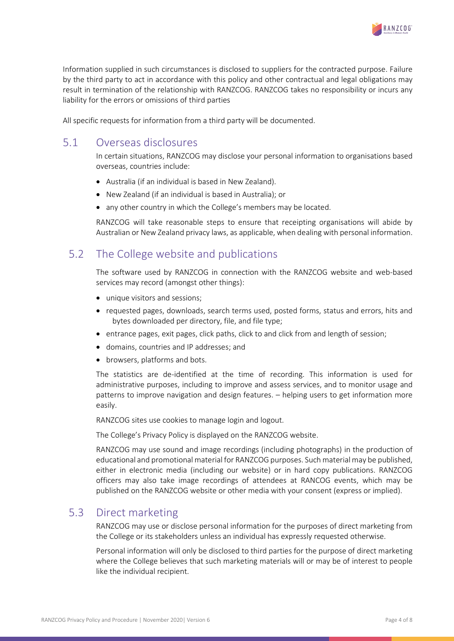

Information supplied in such circumstances is disclosed to suppliers for the contracted purpose. Failure by the third party to act in accordance with this policy and other contractual and legal obligations may result in termination of the relationship with RANZCOG. RANZCOG takes no responsibility or incurs any liability for the errors or omissions of third parties

All specific requests for information from a third party will be documented.

# 5.1 Overseas disclosures

In certain situations, RANZCOG may disclose your personal information to organisations based overseas, countries include:

- Australia (if an individual is based in New Zealand).
- New Zealand (if an individual is based in Australia); or
- any other country in which the College's members may be located.

RANZCOG will take reasonable steps to ensure that receipting organisations will abide by Australian or New Zealand privacy laws, as applicable, when dealing with personal information.

# 5.2 The College website and publications

The software used by RANZCOG in connection with the RANZCOG website and web-based services may record (amongst other things):

- unique visitors and sessions;
- requested pages, downloads, search terms used, posted forms, status and errors, hits and bytes downloaded per directory, file, and file type;
- entrance pages, exit pages, click paths, click to and click from and length of session;
- domains, countries and IP addresses; and
- browsers, platforms and bots.

The statistics are de-identified at the time of recording. This information is used for administrative purposes, including to improve and assess services, and to monitor usage and patterns to improve navigation and design features. – helping users to get information more easily.

RANZCOG sites use cookies to manage login and logout.

The College's Privacy Policy is displayed on the RANZCOG website.

RANZCOG may use sound and image recordings (including photographs) in the production of educational and promotional material for RANZCOG purposes. Such material may be published, either in electronic media (including our website) or in hard copy publications. RANZCOG officers may also take image recordings of attendees at RANCOG events, which may be published on the RANZCOG website or other media with your consent (express or implied).

#### 5.3 Direct marketing

RANZCOG may use or disclose personal information for the purposes of direct marketing from the College or its stakeholders unless an individual has expressly requested otherwise.

Personal information will only be disclosed to third parties for the purpose of direct marketing where the College believes that such marketing materials will or may be of interest to people like the individual recipient.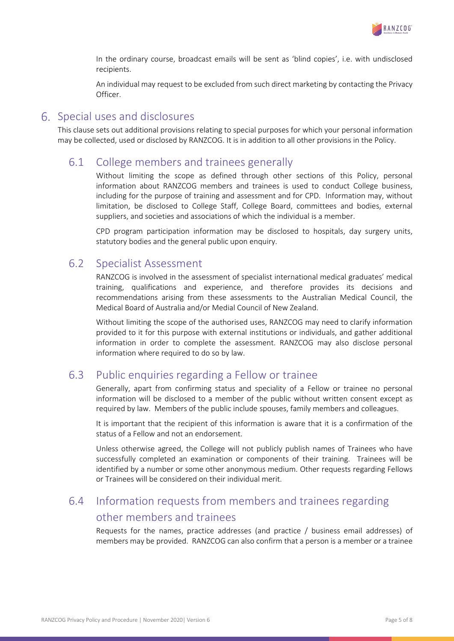

In the ordinary course, broadcast emails will be sent as 'blind copies', i.e. with undisclosed recipients.

An individual may request to be excluded from such direct marketing by contacting the Privacy Officer.

#### Special uses and disclosures

This clause sets out additional provisions relating to special purposes for which your personal information may be collected, used or disclosed by RANZCOG. It is in addition to all other provisions in the Policy.

#### 6.1 College members and trainees generally

Without limiting the scope as defined through other sections of this Policy, personal information about RANZCOG members and trainees is used to conduct College business, including for the purpose of training and assessment and for CPD. Information may, without limitation, be disclosed to College Staff, College Board, committees and bodies, external suppliers, and societies and associations of which the individual is a member.

CPD program participation information may be disclosed to hospitals, day surgery units, statutory bodies and the general public upon enquiry.

#### 6.2 Specialist Assessment

RANZCOG is involved in the assessment of specialist international medical graduates' medical training, qualifications and experience, and therefore provides its decisions and recommendations arising from these assessments to the Australian Medical Council, the Medical Board of Australia and/or Medial Council of New Zealand.

Without limiting the scope of the authorised uses, RANZCOG may need to clarify information provided to it for this purpose with external institutions or individuals, and gather additional information in order to complete the assessment. RANZCOG may also disclose personal information where required to do so by law.

#### 6.3 Public enquiries regarding a Fellow or trainee

Generally, apart from confirming status and speciality of a Fellow or trainee no personal information will be disclosed to a member of the public without written consent except as required by law. Members of the public include spouses, family members and colleagues.

It is important that the recipient of this information is aware that it is a confirmation of the status of a Fellow and not an endorsement.

Unless otherwise agreed, the College will not publicly publish names of Trainees who have successfully completed an examination or components of their training. Trainees will be identified by a number or some other anonymous medium. Other requests regarding Fellows or Trainees will be considered on their individual merit.

# 6.4 Information requests from members and trainees regarding other members and trainees

Requests for the names, practice addresses (and practice / business email addresses) of members may be provided. RANZCOG can also confirm that a person is a member or a trainee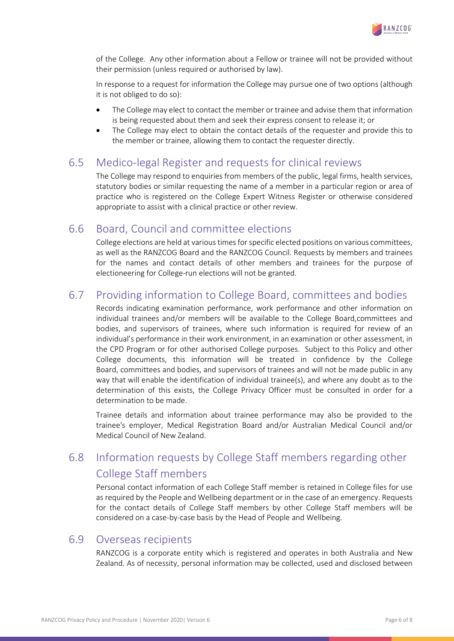

of the College. Any other information about a Fellow or trainee will not be provided without their permission (unless required or authorised by law).

In response to a request for information the College may pursue one of two options (although it is not obliged to do so):

- The College may elect to contact the member or trainee and advise them that information is being requested about them and seek their express consent to release it; or
- The College may elect to obtain the contact details of the requester and provide this to the member or trainee, allowing them to contact the requester directly.

#### 6.5 Medico-legal Register and requests for clinical reviews

The College may respond to enquiries from members of the public, legal firms, health services, statutory bodies or similar requesting the name of a member in a particular region or area of practice who is registered on the College Expert Witness Register or otherwise considered appropriate to assist with a clinical practice or other review.

#### 6.6 Board, Council and committee elections

College elections are held at various times for specific elected positions on various committees, as well as the RANZCOG Board and the RANZCOG Council. Requests by members and trainees for the names and contact details of other members and trainees for the purpose of electioneering for College-run elections will not be granted.

# 6.7 Providing information to College Board, committees and bodies

Records indicating examination performance, work performance and other information on individual trainees and/or members will be available to the College Board,committees and bodies, and supervisors of trainees, where such information is required for review of an individual's performance in their work environment, in an examination or other assessment, in the CPD Program or for other authorised College purposes. Subject to this Policy and other College documents, this information will be treated in confidence by the College Board, committees and bodies, and supervisors of trainees and will not be made public in any way that will enable the identification of individual trainee(s), and where any doubt as to the determination of this exists, the College Privacy Officer must be consulted in order for a determination to be made.

Trainee details and information about trainee performance may also be provided to the trainee's employer, Medical Registration Board and/or Australian Medical Council and/or Medical Council of New Zealand.

# 6.8 Information requests by College Staff members regarding other College Staff members

Personal contact information of each College Staff member is retained in College files for use as required by the People and Wellbeing department or in the case of an emergency. Requests for the contact details of College Staff members by other College Staff members will be considered on a case-by-case basis by the Head of People and Wellbeing.

#### 6.9 Overseas recipients

RANZCOG is a corporate entity which is registered and operates in both Australia and New Zealand. As of necessity, personal information may be collected, used and disclosed between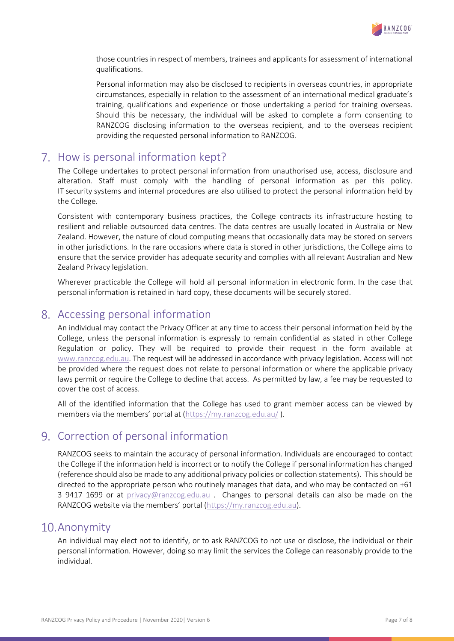

those countries in respect of members, trainees and applicants for assessment of international qualifications.

Personal information may also be disclosed to recipients in overseas countries, in appropriate circumstances, especially in relation to the assessment of an international medical graduate's training, qualifications and experience or those undertaking a period for training overseas. Should this be necessary, the individual will be asked to complete a form consenting to RANZCOG disclosing information to the overseas recipient, and to the overseas recipient providing the requested personal information to RANZCOG.

### 7. How is personal information kept?

The College undertakes to protect personal information from unauthorised use, access, disclosure and alteration. Staff must comply with the handling of personal information as per this policy. IT security systems and internal procedures are also utilised to protect the personal information held by the College.

Consistent with contemporary business practices, the College contracts its infrastructure hosting to resilient and reliable outsourced data centres. The data centres are usually located in Australia or New Zealand. However, the nature of cloud computing means that occasionally data may be stored on servers in other jurisdictions. In the rare occasions where data is stored in other jurisdictions, the College aims to ensure that the service provider has adequate security and complies with all relevant Australian and New Zealand Privacy legislation.

Wherever practicable the College will hold all personal information in electronic form. In the case that personal information is retained in hard copy, these documents will be securely stored.

### Accessing personal information

An individual may contact the Privacy Officer at any time to access their personal information held by the College, unless the personal information is expressly to remain confidential as stated in other College Regulation or policy. They will be required to provide their request in the form available at [www.ranzcog.edu.au.](http://www.ranzcog.edu.au/) The request will be addressed in accordance with privacy legislation. Access will not be provided where the request does not relate to personal information or where the applicable privacy laws permit or require the College to decline that access. As permitted by law, a fee may be requested to cover the cost of access.

All of the identified information that the College has used to grant member access can be viewed by members via the members' portal at [\(https://my.ranzcog.edu.au/](https://my.ranzcog.edu.au/)).

# 9. Correction of personal information

RANZCOG seeks to maintain the accuracy of personal information. Individuals are encouraged to contact the College if the information held is incorrect or to notify the College if personal information has changed (reference should also be made to any additional privacy policies or collection statements). This should be directed to the appropriate person who routinely manages that data, and who may be contacted on +61 3 9417 1699 or at [privacy@ranzcog.edu.au](mailto:privacy@ranzcog.edu.au) . Changes to personal details can also be made on the RANZCOG website via the members' portal [\(https://my.ranzcog.edu.au\)](https://my.ranzcog.edu.au/).

#### 10. Anonymity

An individual may elect not to identify, or to ask RANZCOG to not use or disclose, the individual or their personal information. However, doing so may limit the services the College can reasonably provide to the individual.